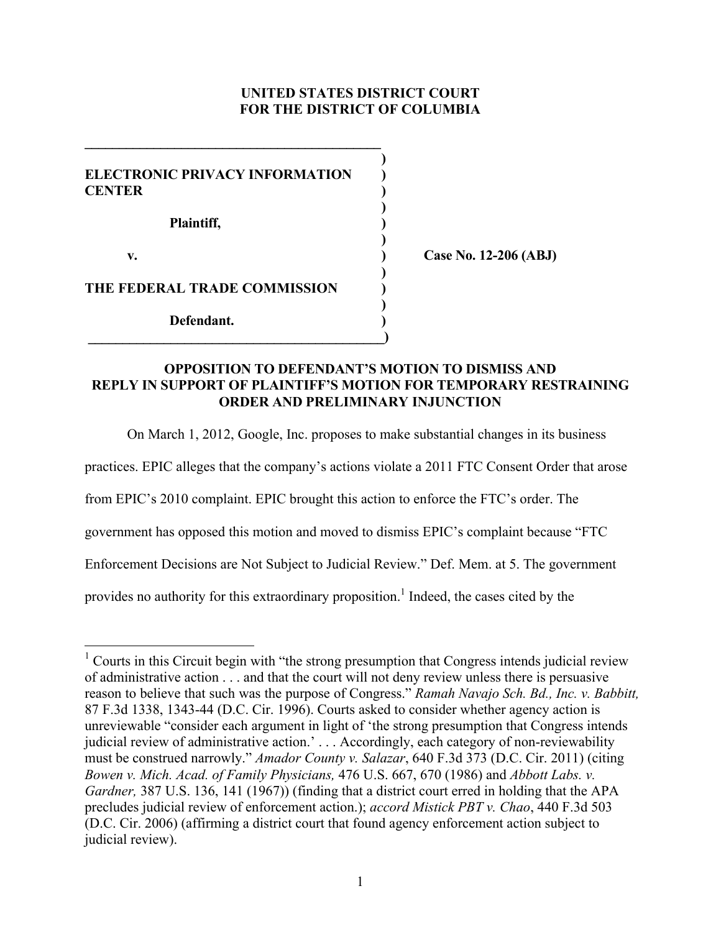# **UNITED STATES DISTRICT COURT FOR THE DISTRICT OF COLUMBIA**

**)**

**)**

**)**

**)**

**)**

**ELECTRONIC PRIVACY INFORMATION ) CENTER ) Plaintiff, ) v. ) Case No. 12-206 (ABJ)**

**\_\_\_\_\_\_\_\_\_\_\_\_\_\_\_\_\_\_\_\_\_\_\_\_\_\_\_\_\_\_\_\_\_\_\_\_\_\_\_\_\_\_\_**

**THE FEDERAL TRADE COMMISSION )**

 **\_\_\_\_\_\_\_\_\_\_\_\_\_\_\_\_\_\_\_\_\_\_\_\_\_\_\_\_\_\_\_\_\_\_\_\_\_\_\_\_\_\_\_)**

**Defendant. )**

## **OPPOSITION TO DEFENDANT'S MOTION TO DISMISS AND REPLY IN SUPPORT OF PLAINTIFF'S MOTION FOR TEMPORARY RESTRAINING ORDER AND PRELIMINARY INJUNCTION**

On March 1, 2012, Google, Inc. proposes to make substantial changes in its business

practices. EPIC alleges that the company's actions violate a 2011 FTC Consent Order that arose

from EPIC's 2010 complaint. EPIC brought this action to enforce the FTC's order. The

government has opposed this motion and moved to dismiss EPIC's complaint because "FTC

Enforcement Decisions are Not Subject to Judicial Review." Def. Mem. at 5. The government

provides no authority for this extraordinary proposition.<sup>1</sup> Indeed, the cases cited by the

 $\frac{1}{1}$  Courts in this Circuit begin with "the strong presumption that Congress intends judicial review of administrative action . . . and that the court will not deny review unless there is persuasive reason to believe that such was the purpose of Congress." *Ramah Navajo Sch. Bd., Inc. v. Babbitt,* 87 F.3d 1338, 1343-44 (D.C. Cir. 1996). Courts asked to consider whether agency action is unreviewable "consider each argument in light of 'the strong presumption that Congress intends judicial review of administrative action.' . . . Accordingly, each category of non-reviewability must be construed narrowly." *Amador County v. Salazar*, 640 F.3d 373 (D.C. Cir. 2011) (citing *Bowen v. Mich. Acad. of Family Physicians,* 476 U.S. 667, 670 (1986) and *Abbott Labs. v. Gardner,* 387 U.S. 136, 141 (1967)) (finding that a district court erred in holding that the APA precludes judicial review of enforcement action.); *accord Mistick PBT v. Chao*, 440 F.3d 503 (D.C. Cir. 2006) (affirming a district court that found agency enforcement action subject to judicial review).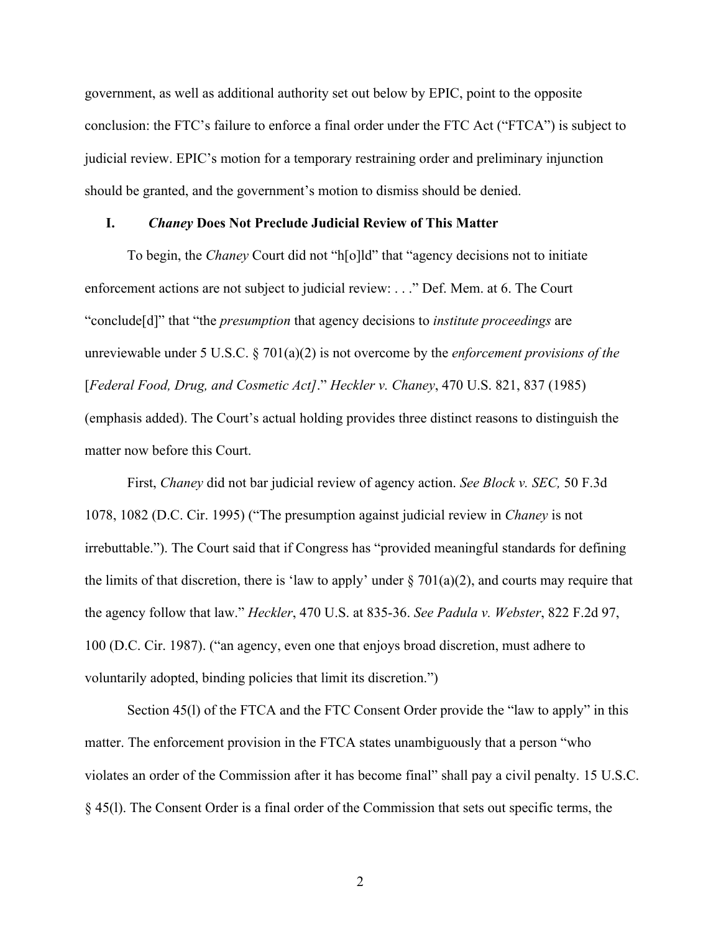government, as well as additional authority set out below by EPIC, point to the opposite conclusion: the FTC's failure to enforce a final order under the FTC Act ("FTCA") is subject to judicial review. EPIC's motion for a temporary restraining order and preliminary injunction should be granted, and the government's motion to dismiss should be denied.

## **I.** *Chaney* **Does Not Preclude Judicial Review of This Matter**

To begin, the *Chaney* Court did not "h[o]ld" that "agency decisions not to initiate enforcement actions are not subject to judicial review: . . ." Def. Mem. at 6. The Court "conclude[d]" that "the *presumption* that agency decisions to *institute proceedings* are unreviewable under 5 U.S.C. § 701(a)(2) is not overcome by the *enforcement provisions of the* [*Federal Food, Drug, and Cosmetic Act]*." *Heckler v. Chaney*, 470 U.S. 821, 837 (1985) (emphasis added). The Court's actual holding provides three distinct reasons to distinguish the matter now before this Court.

First, *Chaney* did not bar judicial review of agency action. *See Block v. SEC,* 50 F.3d 1078, 1082 (D.C. Cir. 1995) ("The presumption against judicial review in *Chaney* is not irrebuttable."). The Court said that if Congress has "provided meaningful standards for defining the limits of that discretion, there is 'law to apply' under  $\S 701(a)(2)$ , and courts may require that the agency follow that law." *Heckler*, 470 U.S. at 835-36. *See Padula v. Webster*, 822 F.2d 97, 100 (D.C. Cir. 1987). ("an agency, even one that enjoys broad discretion, must adhere to voluntarily adopted, binding policies that limit its discretion.")

Section 45(l) of the FTCA and the FTC Consent Order provide the "law to apply" in this matter. The enforcement provision in the FTCA states unambiguously that a person "who violates an order of the Commission after it has become final" shall pay a civil penalty. 15 U.S.C. § 45(l). The Consent Order is a final order of the Commission that sets out specific terms, the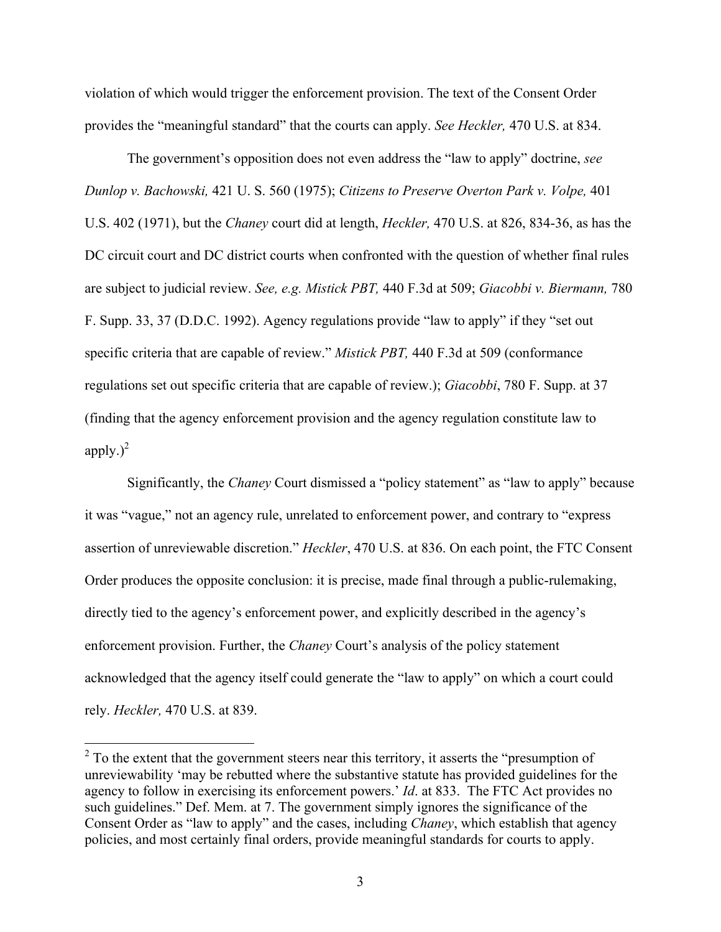violation of which would trigger the enforcement provision. The text of the Consent Order provides the "meaningful standard" that the courts can apply. *See Heckler,* 470 U.S. at 834.

The government's opposition does not even address the "law to apply" doctrine, *see Dunlop v. Bachowski,* 421 U. S. 560 (1975); *Citizens to Preserve Overton Park v. Volpe,* 401 U.S. 402 (1971), but the *Chaney* court did at length, *Heckler,* 470 U.S. at 826, 834-36, as has the DC circuit court and DC district courts when confronted with the question of whether final rules are subject to judicial review. *See, e.g. Mistick PBT,* 440 F.3d at 509; *Giacobbi v. Biermann,* 780 F. Supp. 33, 37 (D.D.C. 1992). Agency regulations provide "law to apply" if they "set out specific criteria that are capable of review." *Mistick PBT,* 440 F.3d at 509 (conformance regulations set out specific criteria that are capable of review.); *Giacobbi*, 780 F. Supp. at 37 (finding that the agency enforcement provision and the agency regulation constitute law to apply.) $^{2}$ 

Significantly, the *Chaney* Court dismissed a "policy statement" as "law to apply" because it was "vague," not an agency rule, unrelated to enforcement power, and contrary to "express assertion of unreviewable discretion." *Heckler*, 470 U.S. at 836. On each point, the FTC Consent Order produces the opposite conclusion: it is precise, made final through a public-rulemaking, directly tied to the agency's enforcement power, and explicitly described in the agency's enforcement provision. Further, the *Chaney* Court's analysis of the policy statement acknowledged that the agency itself could generate the "law to apply" on which a court could rely. *Heckler,* 470 U.S. at 839.

 $\frac{1}{2}$  To the extent that the government steers near this territory, it asserts the "presumption of unreviewability 'may be rebutted where the substantive statute has provided guidelines for the agency to follow in exercising its enforcement powers.' *Id*. at 833. The FTC Act provides no such guidelines." Def. Mem. at 7. The government simply ignores the significance of the Consent Order as "law to apply" and the cases, including *Chaney*, which establish that agency policies, and most certainly final orders, provide meaningful standards for courts to apply.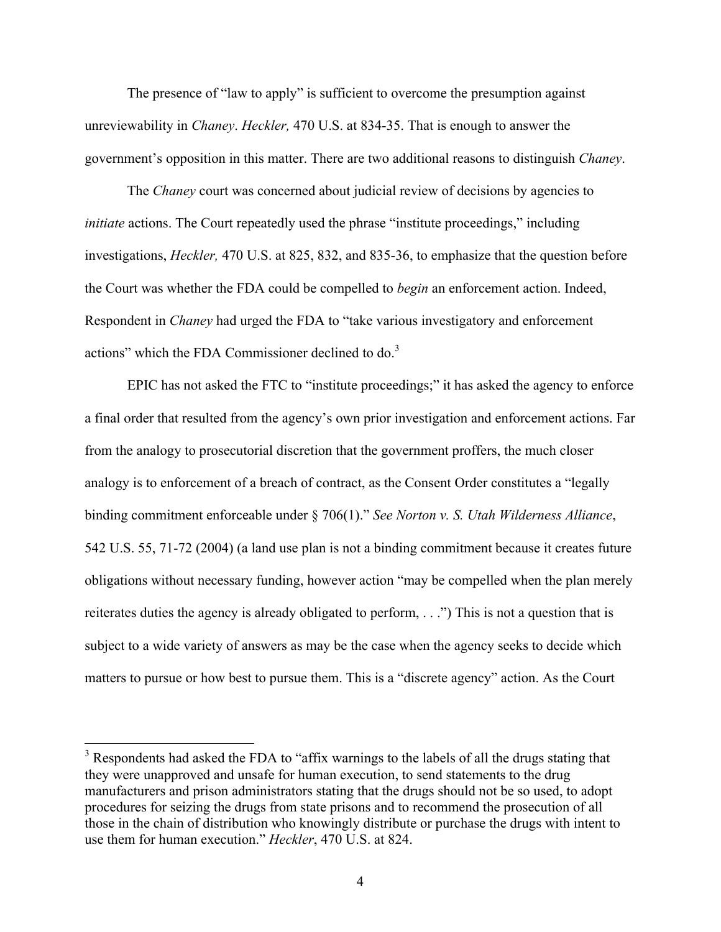The presence of "law to apply" is sufficient to overcome the presumption against unreviewability in *Chaney*. *Heckler,* 470 U.S. at 834-35. That is enough to answer the government's opposition in this matter. There are two additional reasons to distinguish *Chaney*.

The *Chaney* court was concerned about judicial review of decisions by agencies to *initiate* actions. The Court repeatedly used the phrase "institute proceedings," including investigations, *Heckler,* 470 U.S. at 825, 832, and 835-36, to emphasize that the question before the Court was whether the FDA could be compelled to *begin* an enforcement action. Indeed, Respondent in *Chaney* had urged the FDA to "take various investigatory and enforcement actions" which the FDA Commissioner declined to do.<sup>3</sup>

EPIC has not asked the FTC to "institute proceedings;" it has asked the agency to enforce a final order that resulted from the agency's own prior investigation and enforcement actions. Far from the analogy to prosecutorial discretion that the government proffers, the much closer analogy is to enforcement of a breach of contract, as the Consent Order constitutes a "legally binding commitment enforceable under § 706(1)." *See Norton v. S. Utah Wilderness Alliance*, 542 U.S. 55, 71-72 (2004) (a land use plan is not a binding commitment because it creates future obligations without necessary funding, however action "may be compelled when the plan merely reiterates duties the agency is already obligated to perform, . . .") This is not a question that is subject to a wide variety of answers as may be the case when the agency seeks to decide which matters to pursue or how best to pursue them. This is a "discrete agency" action. As the Court

 $\frac{1}{3}$  Respondents had asked the FDA to "affix warnings to the labels of all the drugs stating that they were unapproved and unsafe for human execution, to send statements to the drug manufacturers and prison administrators stating that the drugs should not be so used, to adopt procedures for seizing the drugs from state prisons and to recommend the prosecution of all those in the chain of distribution who knowingly distribute or purchase the drugs with intent to use them for human execution." *Heckler*, 470 U.S. at 824.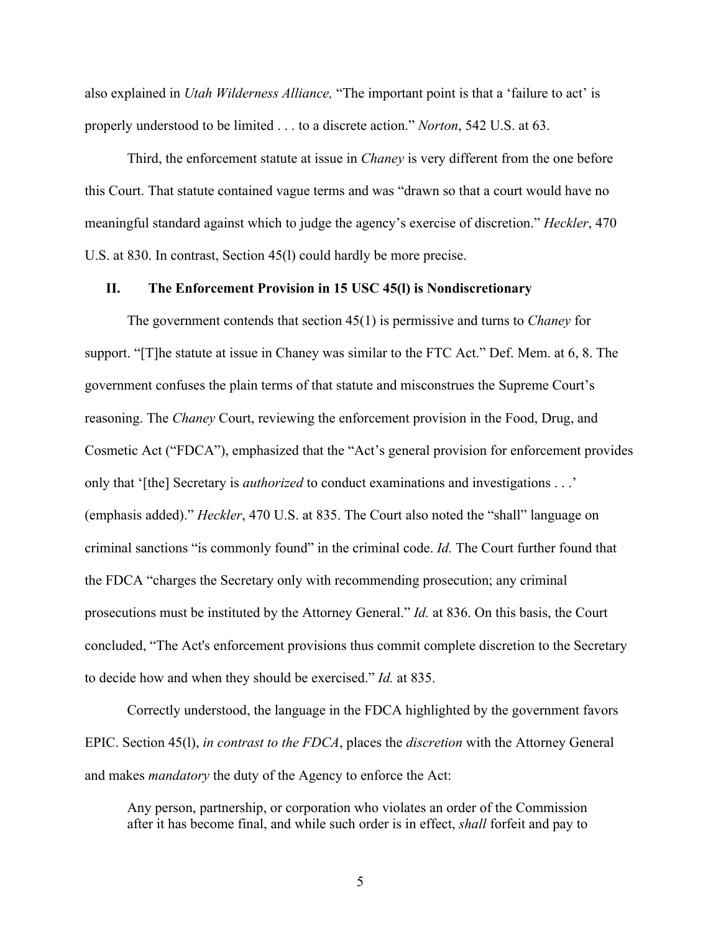also explained in *Utah Wilderness Alliance,* "The important point is that a 'failure to act' is properly understood to be limited . . . to a discrete action." *Norton*, 542 U.S. at 63.

Third, the enforcement statute at issue in *Chaney* is very different from the one before this Court. That statute contained vague terms and was "drawn so that a court would have no meaningful standard against which to judge the agency's exercise of discretion." *Heckler*, 470 U.S. at 830. In contrast, Section 45(l) could hardly be more precise.

### **II. The Enforcement Provision in 15 USC 45(l) is Nondiscretionary**

The government contends that section 45(1) is permissive and turns to *Chaney* for support. "[T]he statute at issue in Chaney was similar to the FTC Act." Def. Mem. at 6, 8. The government confuses the plain terms of that statute and misconstrues the Supreme Court's reasoning. The *Chaney* Court, reviewing the enforcement provision in the Food, Drug, and Cosmetic Act ("FDCA"), emphasized that the "Act's general provision for enforcement provides only that '[the] Secretary is *authorized* to conduct examinations and investigations . . .' (emphasis added)." *Heckler*, 470 U.S. at 835. The Court also noted the "shall" language on criminal sanctions "is commonly found" in the criminal code. *Id.* The Court further found that the FDCA "charges the Secretary only with recommending prosecution; any criminal prosecutions must be instituted by the Attorney General." *Id.* at 836. On this basis, the Court concluded, "The Act's enforcement provisions thus commit complete discretion to the Secretary to decide how and when they should be exercised." *Id.* at 835.

Correctly understood, the language in the FDCA highlighted by the government favors EPIC. Section 45(l), *in contrast to the FDCA*, places the *discretion* with the Attorney General and makes *mandatory* the duty of the Agency to enforce the Act:

Any person, partnership, or corporation who violates an order of the Commission after it has become final, and while such order is in effect, *shall* forfeit and pay to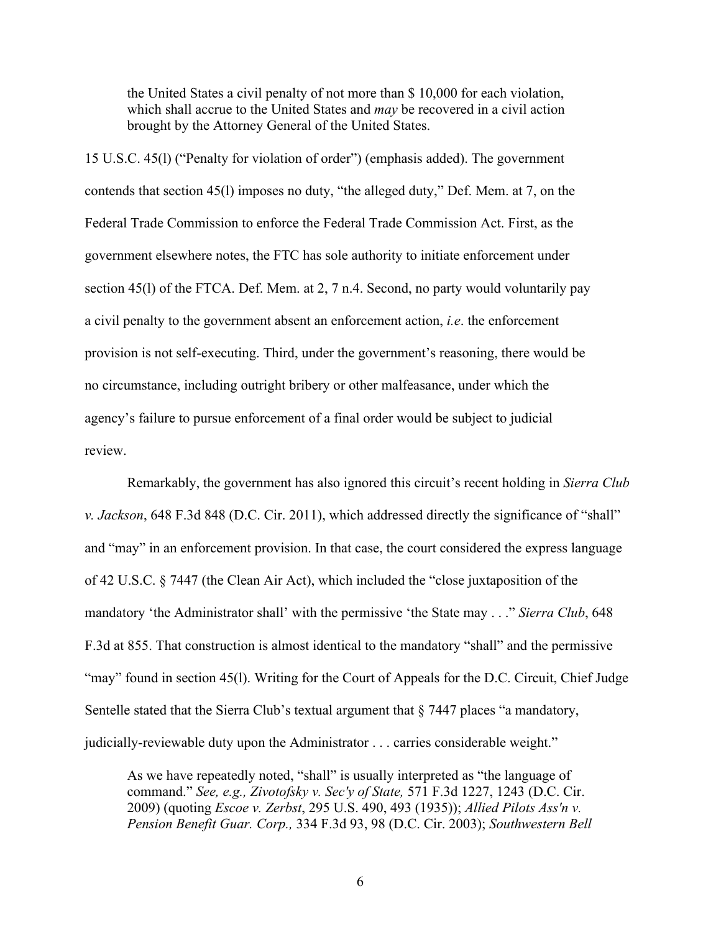the United States a civil penalty of not more than \$ 10,000 for each violation, which shall accrue to the United States and *may* be recovered in a civil action brought by the Attorney General of the United States.

15 U.S.C. 45(l) ("Penalty for violation of order") (emphasis added). The government contends that section 45(l) imposes no duty, "the alleged duty," Def. Mem. at 7, on the Federal Trade Commission to enforce the Federal Trade Commission Act. First, as the government elsewhere notes, the FTC has sole authority to initiate enforcement under section 45(l) of the FTCA. Def. Mem. at 2, 7 n.4. Second, no party would voluntarily pay a civil penalty to the government absent an enforcement action, *i.e*. the enforcement provision is not self-executing. Third, under the government's reasoning, there would be no circumstance, including outright bribery or other malfeasance, under which the agency's failure to pursue enforcement of a final order would be subject to judicial review.

Remarkably, the government has also ignored this circuit's recent holding in *Sierra Club v. Jackson*, 648 F.3d 848 (D.C. Cir. 2011), which addressed directly the significance of "shall" and "may" in an enforcement provision. In that case, the court considered the express language of 42 U.S.C. § 7447 (the Clean Air Act), which included the "close juxtaposition of the mandatory 'the Administrator shall' with the permissive 'the State may . . ." *Sierra Club*, 648 F.3d at 855. That construction is almost identical to the mandatory "shall" and the permissive "may" found in section 45(1). Writing for the Court of Appeals for the D.C. Circuit, Chief Judge Sentelle stated that the Sierra Club's textual argument that § 7447 places "a mandatory, judicially-reviewable duty upon the Administrator . . . carries considerable weight."

As we have repeatedly noted, "shall" is usually interpreted as "the language of command." *See, e.g., Zivotofsky v. Sec'y of State,* 571 F.3d 1227, 1243 (D.C. Cir. 2009) (quoting *Escoe v. Zerbst*, 295 U.S. 490, 493 (1935)); *Allied Pilots Ass'n v. Pension Benefit Guar. Corp.,* 334 F.3d 93, 98 (D.C. Cir. 2003); *Southwestern Bell*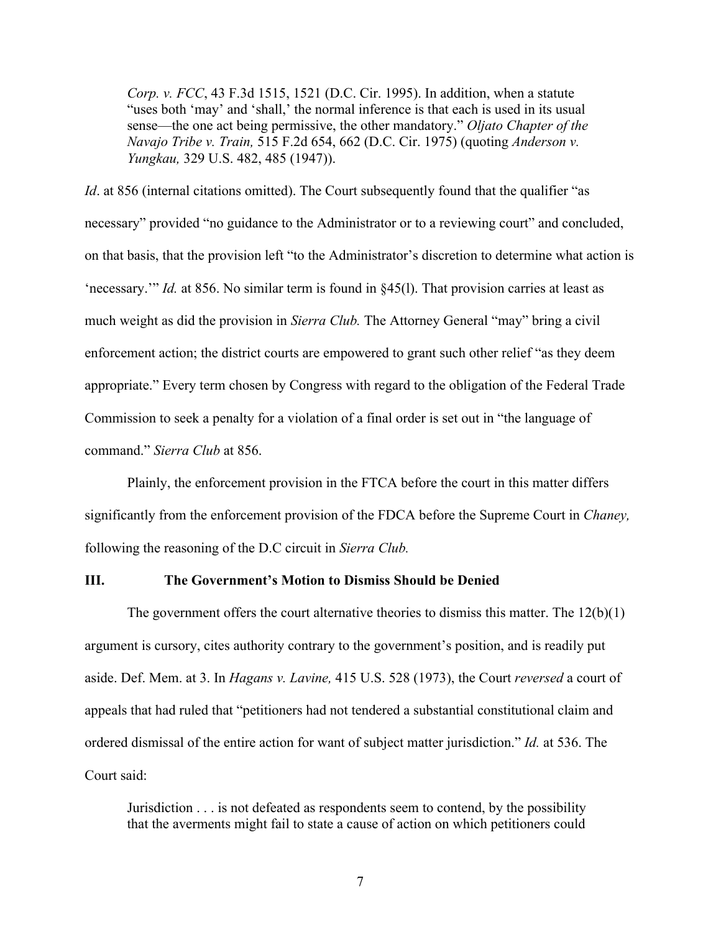*Corp. v. FCC*, 43 F.3d 1515, 1521 (D.C. Cir. 1995). In addition, when a statute "uses both 'may' and 'shall,' the normal inference is that each is used in its usual sense—the one act being permissive, the other mandatory." *Oljato Chapter of the Navajo Tribe v. Train,* 515 F.2d 654, 662 (D.C. Cir. 1975) (quoting *Anderson v. Yungkau,* 329 U.S. 482, 485 (1947)).

*Id.* at 856 (internal citations omitted). The Court subsequently found that the qualifier "as necessary" provided "no guidance to the Administrator or to a reviewing court" and concluded, on that basis, that the provision left "to the Administrator's discretion to determine what action is 'necessary.'" *Id.* at 856. No similar term is found in §45(l). That provision carries at least as much weight as did the provision in *Sierra Club.* The Attorney General "may" bring a civil enforcement action; the district courts are empowered to grant such other relief "as they deem appropriate." Every term chosen by Congress with regard to the obligation of the Federal Trade Commission to seek a penalty for a violation of a final order is set out in "the language of command." *Sierra Club* at 856.

Plainly, the enforcement provision in the FTCA before the court in this matter differs significantly from the enforcement provision of the FDCA before the Supreme Court in *Chaney,* following the reasoning of the D.C circuit in *Sierra Club.*

#### **III. The Government's Motion to Dismiss Should be Denied**

The government offers the court alternative theories to dismiss this matter. The  $12(b)(1)$ argument is cursory, cites authority contrary to the government's position, and is readily put aside. Def. Mem. at 3. In *Hagans v. Lavine,* 415 U.S. 528 (1973), the Court *reversed* a court of appeals that had ruled that "petitioners had not tendered a substantial constitutional claim and ordered dismissal of the entire action for want of subject matter jurisdiction." *Id.* at 536. The Court said:

Jurisdiction . . . is not defeated as respondents seem to contend, by the possibility that the averments might fail to state a cause of action on which petitioners could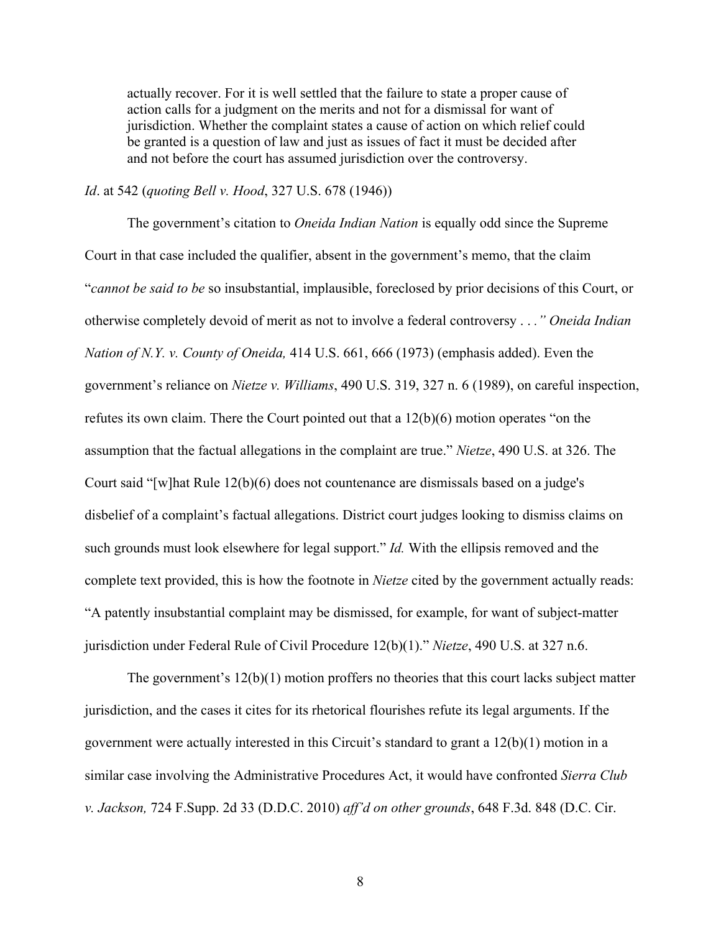actually recover. For it is well settled that the failure to state a proper cause of action calls for a judgment on the merits and not for a dismissal for want of jurisdiction. Whether the complaint states a cause of action on which relief could be granted is a question of law and just as issues of fact it must be decided after and not before the court has assumed jurisdiction over the controversy.

### *Id*. at 542 (*quoting Bell v. Hood*, 327 U.S. 678 (1946))

The government's citation to *Oneida Indian Nation* is equally odd since the Supreme Court in that case included the qualifier, absent in the government's memo, that the claim "*cannot be said to be* so insubstantial, implausible, foreclosed by prior decisions of this Court, or otherwise completely devoid of merit as not to involve a federal controversy . . *." Oneida Indian Nation of N.Y. v. County of Oneida,* 414 U.S. 661, 666 (1973) (emphasis added). Even the government's reliance on *Nietze v. Williams*, 490 U.S. 319, 327 n. 6 (1989), on careful inspection, refutes its own claim. There the Court pointed out that a  $12(b)(6)$  motion operates "on the assumption that the factual allegations in the complaint are true." *Nietze*, 490 U.S. at 326. The Court said "[w]hat Rule 12(b)(6) does not countenance are dismissals based on a judge's disbelief of a complaint's factual allegations. District court judges looking to dismiss claims on such grounds must look elsewhere for legal support." *Id.* With the ellipsis removed and the complete text provided, this is how the footnote in *Nietze* cited by the government actually reads: "A patently insubstantial complaint may be dismissed, for example, for want of subject-matter jurisdiction under Federal Rule of Civil Procedure 12(b)(1)." *Nietze*, 490 U.S. at 327 n.6.

The government's 12(b)(1) motion proffers no theories that this court lacks subject matter jurisdiction, and the cases it cites for its rhetorical flourishes refute its legal arguments. If the government were actually interested in this Circuit's standard to grant a 12(b)(1) motion in a similar case involving the Administrative Procedures Act, it would have confronted *Sierra Club v. Jackson,* 724 F.Supp. 2d 33 (D.D.C. 2010) *aff'd on other grounds*, 648 F.3d. 848 (D.C. Cir.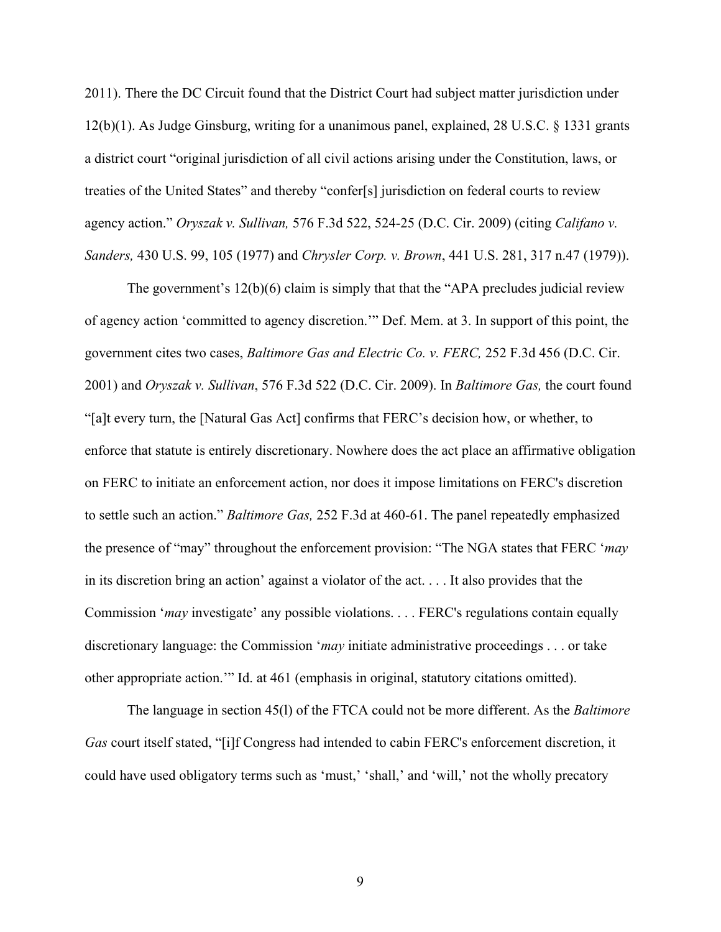2011). There the DC Circuit found that the District Court had subject matter jurisdiction under 12(b)(1). As Judge Ginsburg, writing for a unanimous panel, explained, 28 U.S.C. § 1331 grants a district court "original jurisdiction of all civil actions arising under the Constitution, laws, or treaties of the United States" and thereby "confer[s] jurisdiction on federal courts to review agency action." *Oryszak v. Sullivan,* 576 F.3d 522, 524-25 (D.C. Cir. 2009) (citing *Califano v. Sanders,* 430 U.S. 99, 105 (1977) and *Chrysler Corp. v. Brown*, 441 U.S. 281, 317 n.47 (1979)).

The government's 12(b)(6) claim is simply that that the "APA precludes judicial review of agency action 'committed to agency discretion.'" Def. Mem. at 3. In support of this point, the government cites two cases, *Baltimore Gas and Electric Co. v. FERC,* 252 F.3d 456 (D.C. Cir. 2001) and *Oryszak v. Sullivan*, 576 F.3d 522 (D.C. Cir. 2009). In *Baltimore Gas,* the court found "[a]t every turn, the [Natural Gas Act] confirms that FERC's decision how, or whether, to enforce that statute is entirely discretionary. Nowhere does the act place an affirmative obligation on FERC to initiate an enforcement action, nor does it impose limitations on FERC's discretion to settle such an action." *Baltimore Gas,* 252 F.3d at 460-61. The panel repeatedly emphasized the presence of "may" throughout the enforcement provision: "The NGA states that FERC '*may* in its discretion bring an action' against a violator of the act. . . . It also provides that the Commission '*may* investigate' any possible violations. . . . FERC's regulations contain equally discretionary language: the Commission '*may* initiate administrative proceedings . . . or take other appropriate action.'" Id. at 461 (emphasis in original, statutory citations omitted).

The language in section 45(l) of the FTCA could not be more different. As the *Baltimore Gas* court itself stated, "[i]f Congress had intended to cabin FERC's enforcement discretion, it could have used obligatory terms such as 'must,' 'shall,' and 'will,' not the wholly precatory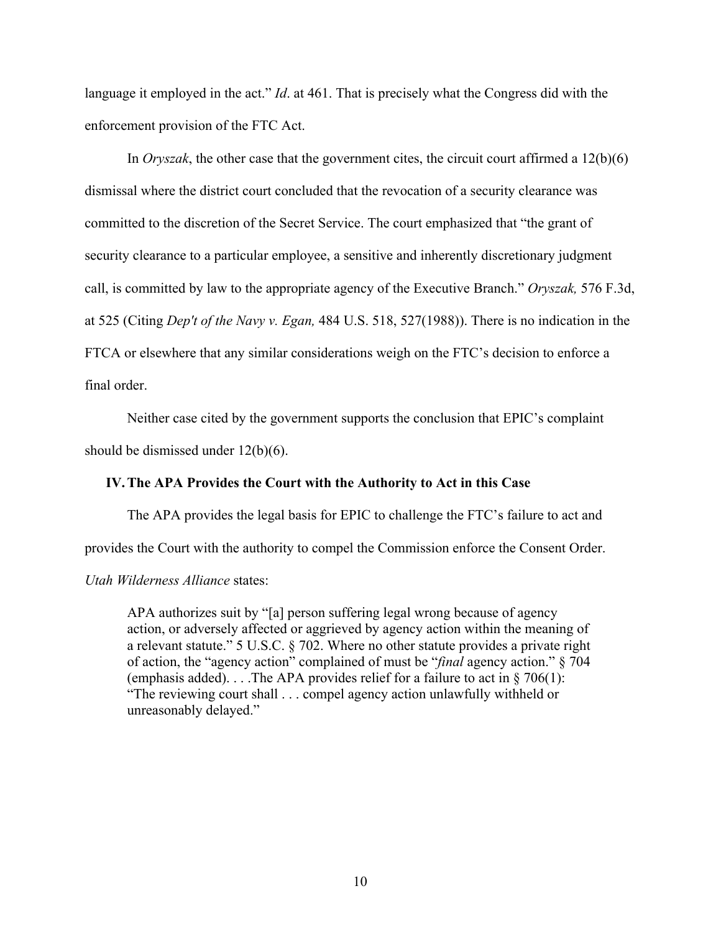language it employed in the act." *Id*. at 461. That is precisely what the Congress did with the enforcement provision of the FTC Act.

In *Oryszak*, the other case that the government cites, the circuit court affirmed a 12(b)(6) dismissal where the district court concluded that the revocation of a security clearance was committed to the discretion of the Secret Service. The court emphasized that "the grant of security clearance to a particular employee, a sensitive and inherently discretionary judgment call, is committed by law to the appropriate agency of the Executive Branch." *Oryszak,* 576 F.3d, at 525 (Citing *Dep't of the Navy v. Egan,* 484 U.S. 518, 527(1988)). There is no indication in the FTCA or elsewhere that any similar considerations weigh on the FTC's decision to enforce a final order.

Neither case cited by the government supports the conclusion that EPIC's complaint should be dismissed under 12(b)(6).

## **IV.The APA Provides the Court with the Authority to Act in this Case**

The APA provides the legal basis for EPIC to challenge the FTC's failure to act and

provides the Court with the authority to compel the Commission enforce the Consent Order.

*Utah Wilderness Alliance* states:

APA authorizes suit by "[a] person suffering legal wrong because of agency action, or adversely affected or aggrieved by agency action within the meaning of a relevant statute." 5 U.S.C. § 702. Where no other statute provides a private right of action, the "agency action" complained of must be "*final* agency action." § 704 (emphasis added). . . .The APA provides relief for a failure to act in  $\S 706(1)$ : "The reviewing court shall . . . compel agency action unlawfully withheld or unreasonably delayed."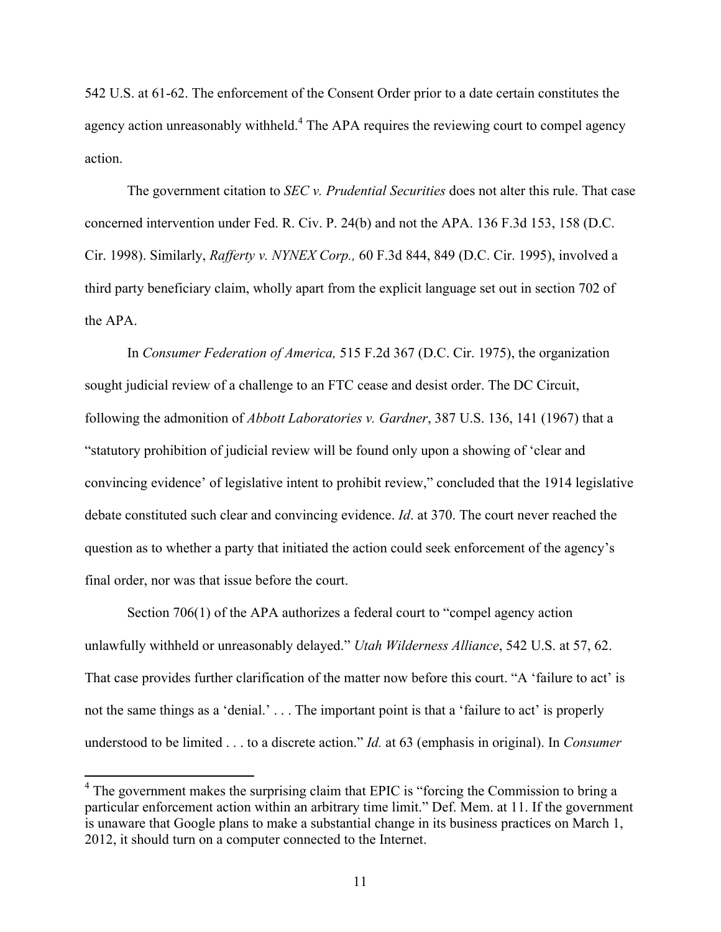542 U.S. at 61-62. The enforcement of the Consent Order prior to a date certain constitutes the agency action unreasonably withheld.<sup>4</sup> The APA requires the reviewing court to compel agency action.

The government citation to *SEC v. Prudential Securities* does not alter this rule. That case concerned intervention under Fed. R. Civ. P. 24(b) and not the APA. 136 F.3d 153, 158 (D.C. Cir. 1998). Similarly, *Rafferty v. NYNEX Corp.,* 60 F.3d 844, 849 (D.C. Cir. 1995), involved a third party beneficiary claim, wholly apart from the explicit language set out in section 702 of the APA.

In *Consumer Federation of America,* 515 F.2d 367 (D.C. Cir. 1975), the organization sought judicial review of a challenge to an FTC cease and desist order. The DC Circuit, following the admonition of *Abbott Laboratories v. Gardner*, 387 U.S. 136, 141 (1967) that a "statutory prohibition of judicial review will be found only upon a showing of 'clear and convincing evidence' of legislative intent to prohibit review," concluded that the 1914 legislative debate constituted such clear and convincing evidence. *Id*. at 370. The court never reached the question as to whether a party that initiated the action could seek enforcement of the agency's final order, nor was that issue before the court.

Section 706(1) of the APA authorizes a federal court to "compel agency action unlawfully withheld or unreasonably delayed." *Utah Wilderness Alliance*, 542 U.S. at 57, 62. That case provides further clarification of the matter now before this court. "A 'failure to act' is not the same things as a 'denial.' . . . The important point is that a 'failure to act' is properly understood to be limited . . . to a discrete action." *Id.* at 63 (emphasis in original). In *Consumer* 

<sup>&</sup>lt;sup>4</sup> The government makes the surprising claim that EPIC is "forcing the Commission to bring a particular enforcement action within an arbitrary time limit." Def. Mem. at 11. If the government is unaware that Google plans to make a substantial change in its business practices on March 1, 2012, it should turn on a computer connected to the Internet.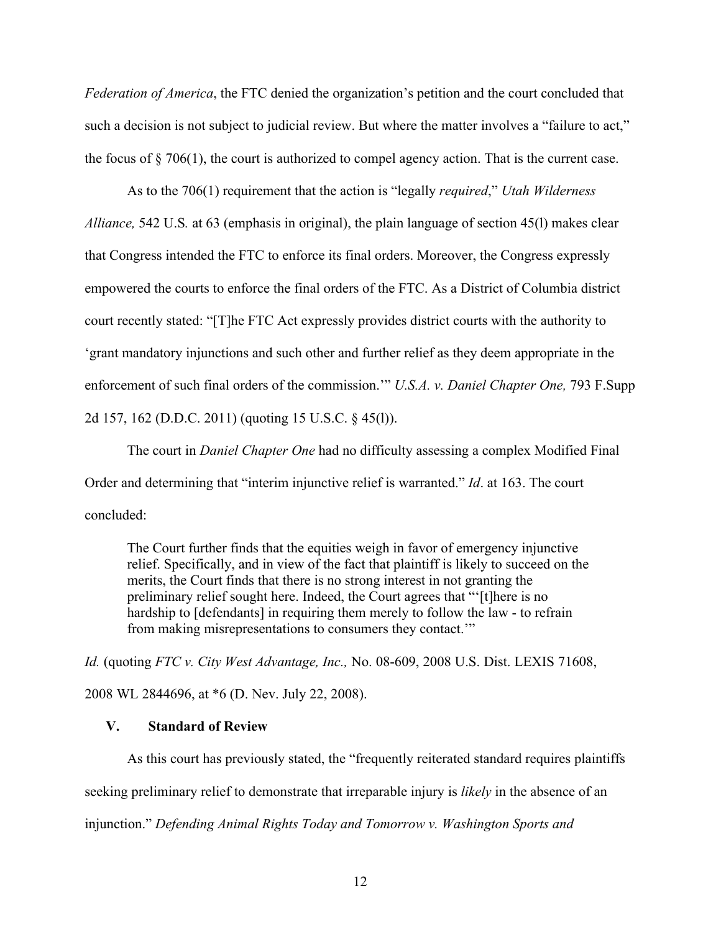*Federation of America*, the FTC denied the organization's petition and the court concluded that such a decision is not subject to judicial review. But where the matter involves a "failure to act," the focus of § 706(1), the court is authorized to compel agency action. That is the current case.

As to the 706(1) requirement that the action is "legally *required*," *Utah Wilderness Alliance,* 542 U.S*.* at 63 (emphasis in original), the plain language of section 45(l) makes clear that Congress intended the FTC to enforce its final orders. Moreover, the Congress expressly empowered the courts to enforce the final orders of the FTC. As a District of Columbia district court recently stated: "[T]he FTC Act expressly provides district courts with the authority to 'grant mandatory injunctions and such other and further relief as they deem appropriate in the enforcement of such final orders of the commission.'" *U.S.A. v. Daniel Chapter One,* 793 F.Supp 2d 157, 162 (D.D.C. 2011) (quoting 15 U.S.C. § 45(l)).

The court in *Daniel Chapter One* had no difficulty assessing a complex Modified Final Order and determining that "interim injunctive relief is warranted." *Id*. at 163. The court concluded:

The Court further finds that the equities weigh in favor of emergency injunctive relief. Specifically, and in view of the fact that plaintiff is likely to succeed on the merits, the Court finds that there is no strong interest in not granting the preliminary relief sought here. Indeed, the Court agrees that "'[t]here is no hardship to [defendants] in requiring them merely to follow the law - to refrain from making misrepresentations to consumers they contact.'"

*Id.* (quoting *FTC v. City West Advantage, Inc.,* No. 08-609, 2008 U.S. Dist. LEXIS 71608,

2008 WL 2844696, at \*6 (D. Nev. July 22, 2008).

## **V. Standard of Review**

As this court has previously stated, the "frequently reiterated standard requires plaintiffs seeking preliminary relief to demonstrate that irreparable injury is *likely* in the absence of an injunction." *Defending Animal Rights Today and Tomorrow v. Washington Sports and*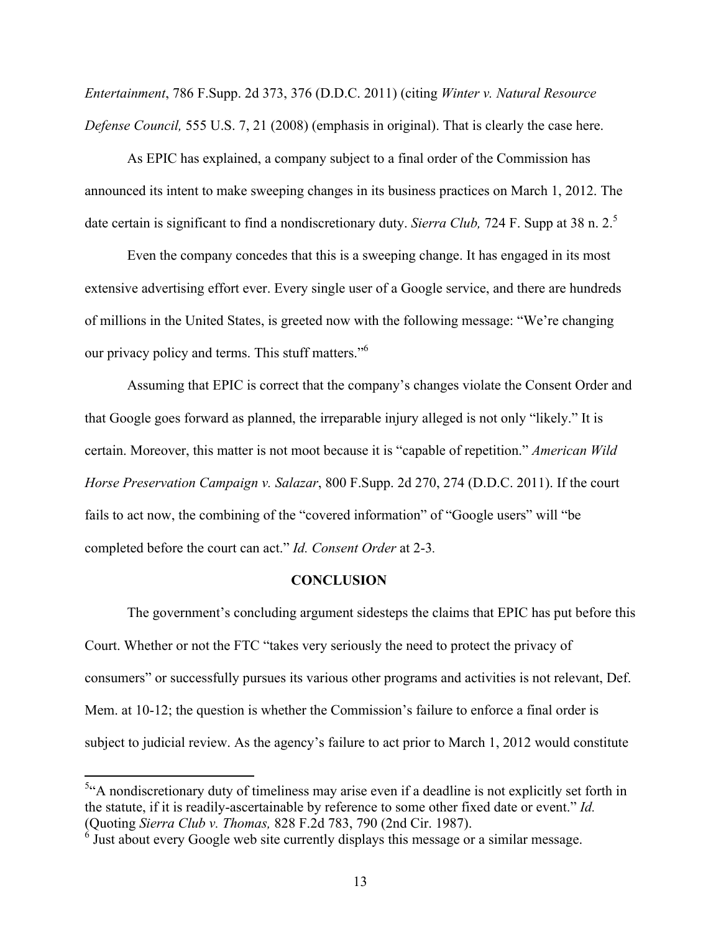*Entertainment*, 786 F.Supp. 2d 373, 376 (D.D.C. 2011) (citing *Winter v. Natural Resource Defense Council,* 555 U.S. 7, 21 (2008) (emphasis in original). That is clearly the case here.

As EPIC has explained, a company subject to a final order of the Commission has announced its intent to make sweeping changes in its business practices on March 1, 2012. The date certain is significant to find a nondiscretionary duty. *Sierra Club*, 724 F. Supp at 38 n. 2.<sup>5</sup>

Even the company concedes that this is a sweeping change. It has engaged in its most extensive advertising effort ever. Every single user of a Google service, and there are hundreds of millions in the United States, is greeted now with the following message: "We're changing our privacy policy and terms. This stuff matters."6

Assuming that EPIC is correct that the company's changes violate the Consent Order and that Google goes forward as planned, the irreparable injury alleged is not only "likely." It is certain. Moreover, this matter is not moot because it is "capable of repetition." *American Wild Horse Preservation Campaign v. Salazar*, 800 F.Supp. 2d 270, 274 (D.D.C. 2011). If the court fails to act now, the combining of the "covered information" of "Google users" will "be completed before the court can act." *Id. Consent Order* at 2-3*.*

#### **CONCLUSION**

The government's concluding argument sidesteps the claims that EPIC has put before this Court. Whether or not the FTC "takes very seriously the need to protect the privacy of consumers" or successfully pursues its various other programs and activities is not relevant, Def. Mem. at 10-12; the question is whether the Commission's failure to enforce a final order is subject to judicial review. As the agency's failure to act prior to March 1, 2012 would constitute

 $\frac{5}{4}$  nondiscretionary duty of timeliness may arise even if a deadline is not explicitly set forth in the statute, if it is readily-ascertainable by reference to some other fixed date or event." *Id.* (Quoting *Sierra Club v. Thomas,* 828 F.2d 783, 790 (2nd Cir. 1987). 6 Just about every Google web site currently displays this message or a similar message.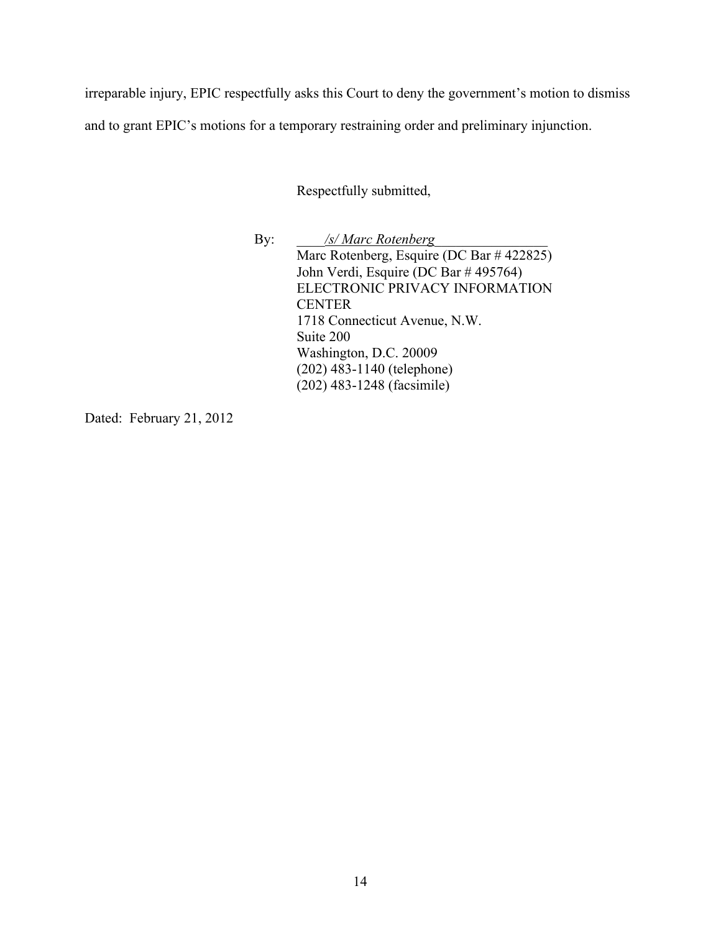irreparable injury, EPIC respectfully asks this Court to deny the government's motion to dismiss and to grant EPIC's motions for a temporary restraining order and preliminary injunction.

Respectfully submitted,

By: */s/ Marc Rotenberg* Marc Rotenberg, Esquire (DC Bar # 422825) John Verdi, Esquire (DC Bar # 495764) ELECTRONIC PRIVACY INFORMATION **CENTER** 1718 Connecticut Avenue, N.W. Suite 200 Washington, D.C. 20009 (202) 483-1140 (telephone) (202) 483-1248 (facsimile)

Dated: February 21, 2012